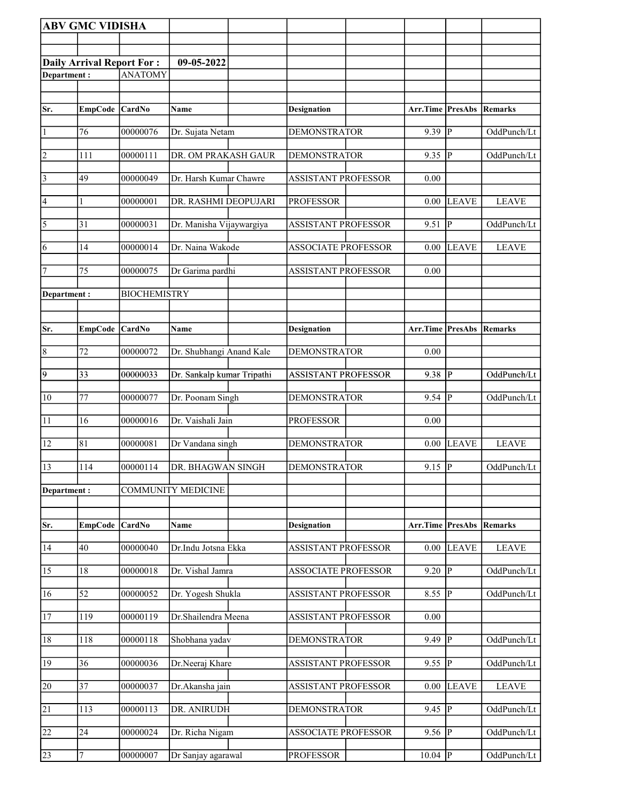|                         | <b>ABV GMC VIDISHA</b>           |                     |                            |                            |                          |                |              |
|-------------------------|----------------------------------|---------------------|----------------------------|----------------------------|--------------------------|----------------|--------------|
|                         |                                  |                     |                            |                            |                          |                |              |
|                         | <b>Daily Arrival Report For:</b> |                     | 09-05-2022                 |                            |                          |                |              |
| Department:             |                                  | <b>ANATOMY</b>      |                            |                            |                          |                |              |
|                         |                                  |                     |                            |                            |                          |                |              |
| Sr.                     | EmpCode CardNo                   |                     | Name                       | <b>Designation</b>         | Arr.Time PresAbs         |                | Remarks      |
| $\vert$ 1               | 76                               | 00000076            | Dr. Sujata Netam           | <b>DEMONSTRATOR</b>        | $9.39$ P                 |                | OddPunch/Lt  |
| $\overline{2}$          | 111                              | 00000111            | DR. OM PRAKASH GAUR        | <b>DEMONSTRATOR</b>        | 9.35  P                  |                | OddPunch/Lt  |
| $\overline{\mathbf{3}}$ | 49                               | 00000049            | Dr. Harsh Kumar Chawre     | <b>ASSISTANT PROFESSOR</b> | 0.00                     |                |              |
| $\vert 4$               | 1                                | 00000001            | DR. RASHMI DEOPUJARI       | <b>PROFESSOR</b>           | $0.00\,$                 | <b>LEAVE</b>   | <b>LEAVE</b> |
| $\sqrt{5}$              | 31                               | 00000031            | Dr. Manisha Vijaywargiya   | <b>ASSISTANT PROFESSOR</b> | 9.51                     | $ {\bf p} $    | OddPunch/Lt  |
| 6                       | 14                               | 00000014            | Dr. Naina Wakode           | <b>ASSOCIATE PROFESSOR</b> | 0.00                     | <b>LEAVE</b>   | <b>LEAVE</b> |
| 7                       | 75                               | 00000075            | Dr Garima pardhi           | <b>ASSISTANT PROFESSOR</b> | 0.00                     |                |              |
| Department:             |                                  | <b>BIOCHEMISTRY</b> |                            |                            |                          |                |              |
|                         |                                  |                     |                            |                            |                          |                |              |
| Sr.                     | <b>EmpCode</b>                   | <b>CardNo</b>       | Name                       | <b>Designation</b>         | Arr.Time PresAbs         |                | Remarks      |
| $\overline{8}$          | 72                               | 00000072            | Dr. Shubhangi Anand Kale   | <b>DEMONSTRATOR</b>        | 0.00                     |                |              |
| $\overline{9}$          | 33                               | 00000033            | Dr. Sankalp kumar Tripathi | ASSISTANT PROFESSOR        | $9.38$ P                 |                | OddPunch/Lt  |
| 10                      | 77                               | 00000077            | Dr. Poonam Singh           | <b>DEMONSTRATOR</b>        | $9.54$ P                 |                | OddPunch/Lt  |
| 11                      | 16                               | 00000016            | Dr. Vaishali Jain          | <b>PROFESSOR</b>           | 0.00                     |                |              |
| 12                      | 81                               | 00000081            | Dr Vandana singh           | <b>DEMONSTRATOR</b>        | 0.00                     | LEAVE          | <b>LEAVE</b> |
| 13                      | 114                              | 00000114            | DR. BHAGWAN SINGH          | <b>DEMONSTRATOR</b>        | $9.15$ P                 |                | OddPunch/Lt  |
| Department:             |                                  |                     | <b>COMMUNITY MEDICINE</b>  |                            |                          |                |              |
|                         |                                  |                     |                            |                            |                          |                |              |
| Sr.                     | EmpCode CardNo                   |                     | Name                       | <b>Designation</b>         | Arr.Time PresAbs Remarks |                |              |
| 14                      | 40                               | 00000040            | Dr.Indu Jotsna Ekka        | <b>ASSISTANT PROFESSOR</b> | 0.00                     | <b>LEAVE</b>   | <b>LEAVE</b> |
| 15                      | 18                               | 00000018            | Dr. Vishal Jamra           | <b>ASSOCIATE PROFESSOR</b> | 9.20                     | P              | OddPunch/Lt  |
| 16                      | 52                               | 00000052            | Dr. Yogesh Shukla          | <b>ASSISTANT PROFESSOR</b> | 8.55                     | ∣P             | OddPunch/Lt  |
| <sup>17</sup>           | 119                              | 00000119            | Dr.Shailendra Meena        | <b>ASSISTANT PROFESSOR</b> | $0.00\,$                 |                |              |
| 18                      | 118                              | 00000118            | Shobhana yadav             | <b>DEMONSTRATOR</b>        | 9.49                     | P              | OddPunch/Lt  |
| 19                      | 36                               | 00000036            | Dr.Neeraj Khare            | <b>ASSISTANT PROFESSOR</b> | 9.55                     | P              | OddPunch/Lt  |
| 20                      | $\overline{37}$                  | 00000037            | Dr.Akansha jain            | <b>ASSISTANT PROFESSOR</b> | 0.00                     | <b>LEAVE</b>   | <b>LEAVE</b> |
| $\overline{21}$         | 113                              | 00000113            | DR. ANIRUDH                | <b>DEMONSTRATOR</b>        | 9.45                     | $\overline{P}$ | OddPunch/Lt  |
| 22                      | 24                               | 00000024            | Dr. Richa Nigam            | <b>ASSOCIATE PROFESSOR</b> | 9.56                     | P              | OddPunch/Lt  |
| 23                      | $\boldsymbol{7}$                 | 00000007            | Dr Sanjay agarawal         | <b>PROFESSOR</b>           | $10.04$ P                |                | OddPunch/Lt  |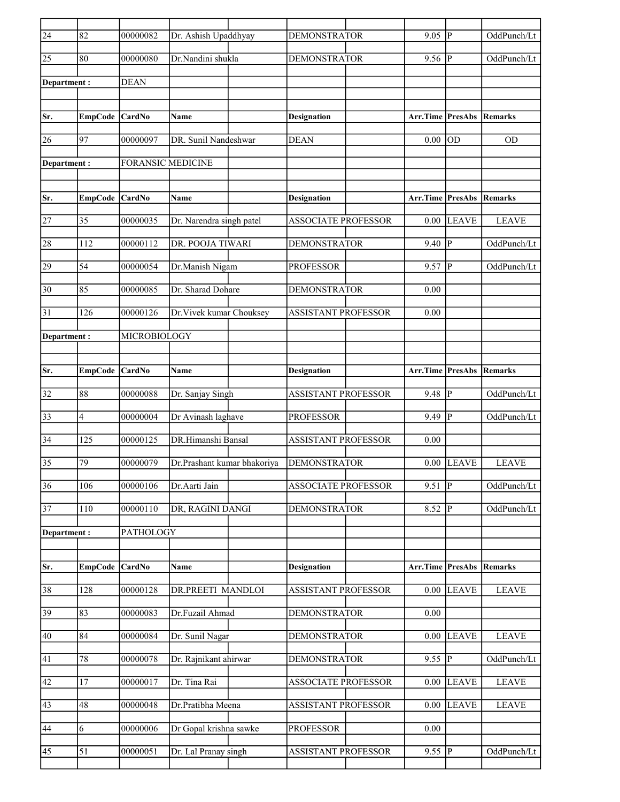| $\overline{24}$ | 82             | 00000082                 | Dr. Ashish Upaddhyay        | <b>DEMONSTRATOR</b>        | 9.05                    | P              | OddPunch/Lt  |
|-----------------|----------------|--------------------------|-----------------------------|----------------------------|-------------------------|----------------|--------------|
| $\overline{25}$ | 80             | 00000080                 | Dr.Nandini shukla           | <b>DEMONSTRATOR</b>        | 9.56                    | P              | OddPunch/Lt  |
| Department:     |                | <b>DEAN</b>              |                             |                            |                         |                |              |
|                 |                |                          |                             |                            |                         |                |              |
| Sr.             | <b>EmpCode</b> | <b>CardNo</b>            | Name                        | <b>Designation</b>         | Arr.Time PresAbs        |                | Remarks      |
| 26              | 97             | 00000097                 | DR. Sunil Nandeshwar        | <b>DEAN</b>                | 0.00                    | OD             | <b>OD</b>    |
| Department :    |                | <b>FORANSIC MEDICINE</b> |                             |                            |                         |                |              |
|                 |                |                          |                             |                            |                         |                |              |
| Sr.             | <b>EmpCode</b> | CardNo                   | Name                        | <b>Designation</b>         | <b>Arr.Time PresAbs</b> |                | Remarks      |
| 27              | 35             | 00000035                 | Dr. Narendra singh patel    | <b>ASSOCIATE PROFESSOR</b> | 0.00                    | <b>LEAVE</b>   | <b>LEAVE</b> |
| 28              | 112            | 00000112                 | DR. POOJA TIWARI            | <b>DEMONSTRATOR</b>        | 9.40                    | p              | OddPunch/Lt  |
| 29              | 54             | 00000054                 | Dr.Manish Nigam             | <b>PROFESSOR</b>           | 9.57                    | lР             | OddPunch/Lt  |
| 30              | 85             | 00000085                 | Dr. Sharad Dohare           | <b>DEMONSTRATOR</b>        | 0.00                    |                |              |
| 31              | 126            | 00000126                 | Dr. Vivek kumar Chouksey    | <b>ASSISTANT PROFESSOR</b> | 0.00                    |                |              |
| Department :    |                | MICROBIOLOGY             |                             |                            |                         |                |              |
|                 |                |                          |                             |                            |                         |                |              |
| Sr.             | <b>EmpCode</b> | <b>CardNo</b>            | Name                        | <b>Designation</b>         | Arr.Time PresAbs        |                | Remarks      |
| 32              | 88             | 00000088                 | Dr. Sanjay Singh            | <b>ASSISTANT PROFESSOR</b> | 9.48                    | lР             | OddPunch/Lt  |
| 33              | 4              | 00000004                 | Dr Avinash laghave          | <b>PROFESSOR</b>           | $9.49$ P                |                | OddPunch/Lt  |
| 34              | 125            | 00000125                 | DR.Himanshi Bansal          | <b>ASSISTANT PROFESSOR</b> | 0.00                    |                |              |
| $\overline{35}$ | 79             | 00000079                 | Dr.Prashant kumar bhakoriya | <b>DEMONSTRATOR</b>        | 0.00                    | <b>LEAVE</b>   | <b>LEAVE</b> |
| 36              | 106            | 00000106                 | Dr.Aarti Jain               | <b>ASSOCIATE PROFESSOR</b> | 9.51                    | $\overline{P}$ | OddPunch/Lt  |
| $\overline{37}$ | 110            | 00000110                 | DR, RAGINI DANGI            | <b>DEMONSTRATOR</b>        | $8.52$ P                |                | OddPunch/Lt  |
| Department:     |                | <b>PATHOLOGY</b>         |                             |                            |                         |                |              |
|                 |                |                          |                             |                            |                         |                |              |
| Sr.             | <b>EmpCode</b> | CardNo                   | Name                        | <b>Designation</b>         | Arr.Time PresAbs        |                | Remarks      |
| 38              | 128            | 00000128                 | DR.PREETI MANDLOI           | ASSISTANT PROFESSOR        |                         | $0.00$ LEAVE   | <b>LEAVE</b> |
| 39              | 83             | 00000083                 | Dr.Fuzail Ahmad             | <b>DEMONSTRATOR</b>        | 0.00                    |                |              |
| 40              | 84             | 00000084                 | Dr. Sunil Nagar             | <b>DEMONSTRATOR</b>        | 0.00                    | <b>LEAVE</b>   | <b>LEAVE</b> |
| 41              | 78             | 00000078                 | Dr. Rajnikant ahirwar       | <b>DEMONSTRATOR</b>        | 9.55  P                 |                | OddPunch/Lt  |
| 42              | 17             | 00000017                 | Dr. Tina Rai                | <b>ASSOCIATE PROFESSOR</b> | 0.00                    | <b>LEAVE</b>   | <b>LEAVE</b> |
| 43              | 48             | 00000048                 | Dr.Pratibha Meena           | ASSISTANT PROFESSOR        | $0.00\,$                | LEAVE          | <b>LEAVE</b> |
| 44              | 6              | 00000006                 | Dr Gopal krishna sawke      | <b>PROFESSOR</b>           | $0.00\,$                |                |              |
| 45              | 51             | 00000051                 | Dr. Lal Pranay singh        | ASSISTANT PROFESSOR        | $9.55$ P                |                | OddPunch/Lt  |
|                 |                |                          |                             |                            |                         |                |              |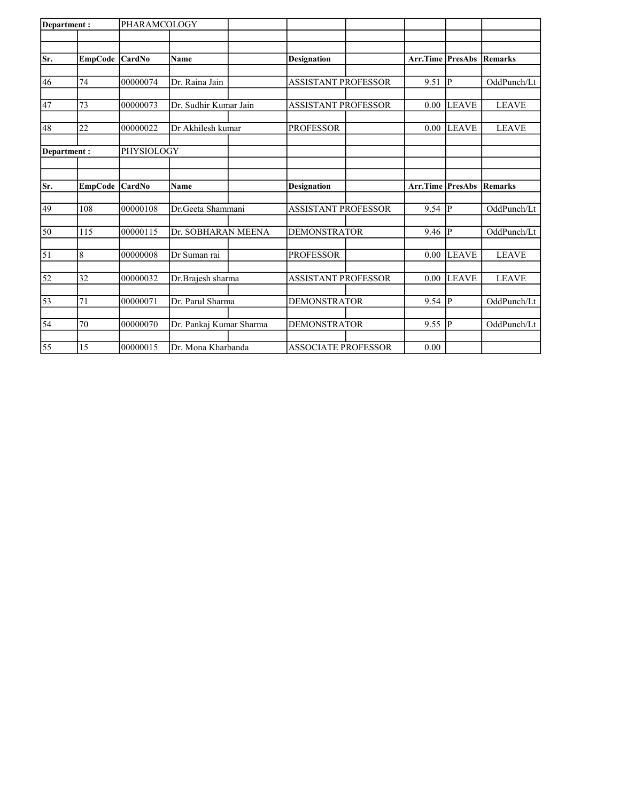| Department: |                | PHARAMCOLOGY |                         |                            |                         |              |                |
|-------------|----------------|--------------|-------------------------|----------------------------|-------------------------|--------------|----------------|
|             |                |              |                         |                            |                         |              |                |
| Sr.         | EmpCode CardNo |              | Name                    | <b>Designation</b>         | <b>Arr.Time PresAbs</b> |              | <b>Remarks</b> |
|             |                |              |                         |                            |                         |              |                |
| 46          | 74             | 00000074     | Dr. Raina Jain          | <b>ASSISTANT PROFESSOR</b> | 9.51                    | P            | OddPunch/Lt    |
|             |                |              |                         |                            |                         |              |                |
| 47          | 73             | 00000073     | Dr. Sudhir Kumar Jain   | <b>ASSISTANT PROFESSOR</b> | 0.00                    | <b>LEAVE</b> | <b>LEAVE</b>   |
| 48          | 22             | 00000022     | Dr Akhilesh kumar       | <b>PROFESSOR</b>           | 0.00                    | <b>LEAVE</b> | <b>LEAVE</b>   |
|             |                |              |                         |                            |                         |              |                |
| Department: |                | PHYSIOLOGY   |                         |                            |                         |              |                |
|             |                |              |                         |                            |                         |              |                |
|             |                |              |                         |                            |                         |              |                |
| Sr.         | EmpCode CardNo |              | Name                    | <b>Designation</b>         | Arr.Time PresAbs        |              | <b>Remarks</b> |
| 49          | 108            | 00000108     | Dr. Geeta Shammani      | <b>ASSISTANT PROFESSOR</b> | 9.54                    | P            | OddPunch/Lt    |
|             |                |              |                         |                            |                         |              |                |
| 50          | 115            | 00000115     | Dr. SOBHARAN MEENA      | <b>DEMONSTRATOR</b>        | 9.46                    | P            | OddPunch/Lt    |
|             |                |              |                         |                            |                         |              |                |
| $\vert$ 51  | 8              | 00000008     | Dr Suman rai            | <b>PROFESSOR</b>           | 0.00                    | <b>LEAVE</b> | <b>LEAVE</b>   |
| 52          | 32             | 00000032     | Dr.Brajesh sharma       | <b>ASSISTANT PROFESSOR</b> | 0.00                    | <b>LEAVE</b> | <b>LEAVE</b>   |
|             |                |              |                         |                            |                         |              |                |
| 53          | 71             | 00000071     | Dr. Parul Sharma        | <b>DEMONSTRATOR</b>        | 9.54                    | P            | OddPunch/Lt    |
|             | 70             | 00000070     |                         | <b>DEMONSTRATOR</b>        |                         | lР           | OddPunch/Lt    |
| 54          |                |              | Dr. Pankaj Kumar Sharma |                            | 9.55                    |              |                |
| 55          | 15             | 00000015     | Dr. Mona Kharbanda      | <b>ASSOCIATE PROFESSOR</b> | 0.00                    |              |                |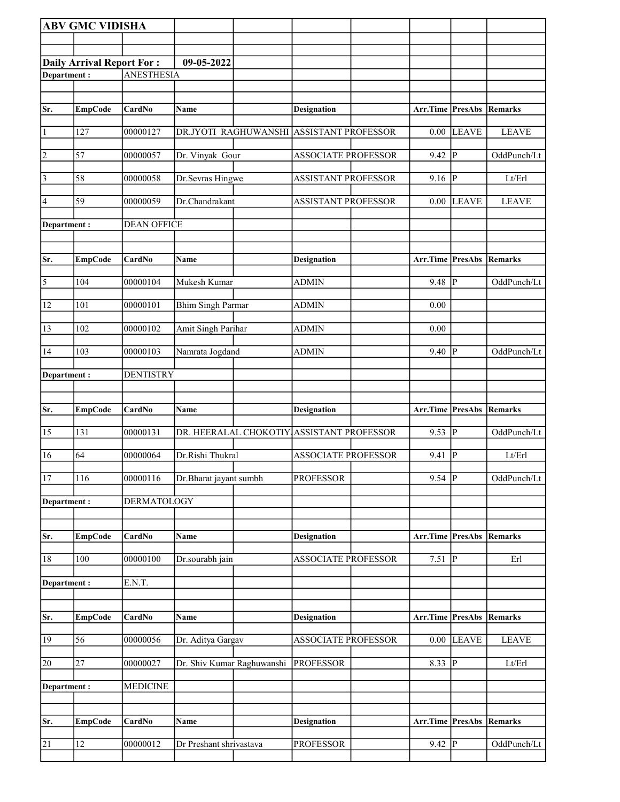|              | <b>ABV GMC VIDISHA</b>    |                    |                                           |                            |                                 |                        |              |
|--------------|---------------------------|--------------------|-------------------------------------------|----------------------------|---------------------------------|------------------------|--------------|
|              |                           |                    |                                           |                            |                                 |                        |              |
|              | Daily Arrival Report For: |                    | 09-05-2022                                |                            |                                 |                        |              |
| Department:  |                           | <b>ANESTHESIA</b>  |                                           |                            |                                 |                        |              |
|              |                           |                    |                                           |                            |                                 |                        |              |
| Sr.          | <b>EmpCode</b>            | CardNo             | <b>Name</b>                               | <b>Designation</b>         | Arr.Time PresAbs                |                        | Remarks      |
| 1            | 127                       | 00000127           | DR.JYOTI RAGHUWANSHI ASSISTANT PROFESSOR  |                            | 0.00                            | LEAVE                  | <b>LEAVE</b> |
| 2            | 57                        | 00000057           | Dr. Vinyak Gour                           | <b>ASSOCIATE PROFESSOR</b> | 9.42                            | P                      | OddPunch/Lt  |
| $\vert$ 3    | 58                        | 00000058           | Dr.Sevras Hingwe                          | <b>ASSISTANT PROFESSOR</b> | 9.16                            | <sup> </sup> P         | Lt/Erl       |
| 4            | 59                        | 00000059           | Dr.Chandrakant                            | <b>ASSISTANT PROFESSOR</b> | 0.00                            | LEAVE                  | <b>LEAVE</b> |
| Department:  |                           | <b>DEAN OFFICE</b> |                                           |                            |                                 |                        |              |
|              |                           |                    |                                           |                            |                                 |                        |              |
| Sr.          | <b>EmpCode</b>            | CardNo             | Name                                      | <b>Designation</b>         | <b>Arr.Time PresAbs Remarks</b> |                        |              |
| 5            | 104                       | 00000104           | Mukesh Kumar                              | <b>ADMIN</b>               | 9.48                            | ∣P                     | OddPunch/Lt  |
| 12           | 101                       | 00000101           | <b>Bhim Singh Parmar</b>                  | <b>ADMIN</b>               | 0.00                            |                        |              |
| 13           | 102                       | 00000102           | Amit Singh Parihar                        | <b>ADMIN</b>               | 0.00                            |                        |              |
| 14           | 103                       | 00000103           | Namrata Jogdand                           | <b>ADMIN</b>               | 9.40                            | $\mathbf P$            | OddPunch/Lt  |
| Department : |                           | <b>DENTISTRY</b>   |                                           |                            |                                 |                        |              |
|              |                           |                    |                                           |                            |                                 |                        |              |
| Sr.          | <b>EmpCode</b>            | CardNo             | <b>Name</b>                               | Designation                | Arr.Time PresAbs Remarks        |                        |              |
| 15           | 131                       | 00000131           | DR. HEERALAL CHOKOTIY ASSISTANT PROFESSOR |                            | 9.53                            | P                      | OddPunch/Lt  |
| 16           | 64                        | 00000064           | Dr.Rishi Thukral                          | <b>ASSOCIATE PROFESSOR</b> | 9.41                            | $\overline{P}$         | Lt/Erl       |
| 17           | 116                       | 00000116           | Dr.Bharat jayant sumbh                    | <b>PROFESSOR</b>           | $9.54$ P                        |                        | OddPunch/Lt  |
| Department:  |                           | <b>DERMATOLOGY</b> |                                           |                            |                                 |                        |              |
|              |                           |                    |                                           |                            |                                 |                        |              |
| Sr.          | <b>EmpCode</b>            | CardNo             | <b>Name</b>                               | <b>Designation</b>         | Arr.Time                        | <b>PresAbs Remarks</b> |              |
| 18           | 100                       | 00000100           | Dr.sourabh jain                           | ASSOCIATE PROFESSOR        | 7.51                            | p                      | Erl          |
| Department : |                           | E.N.T.             |                                           |                            |                                 |                        |              |
|              |                           |                    |                                           |                            |                                 |                        |              |
| Sr.          | <b>EmpCode</b>            | CardNo             | Name                                      | <b>Designation</b>         | Arr.Time PresAbs Remarks        |                        |              |
| 19           | 56                        | 00000056           | Dr. Aditya Gargav                         | <b>ASSOCIATE PROFESSOR</b> | 0.00                            | <b>LEAVE</b>           | <b>LEAVE</b> |
| 20           | 27                        | 00000027           | Dr. Shiv Kumar Raghuwanshi                | <b>PROFESSOR</b>           | 8.33 $\overline{P}$             |                        | Lt/Erl       |
| Department : |                           | <b>MEDICINE</b>    |                                           |                            |                                 |                        |              |
|              |                           |                    |                                           |                            |                                 |                        |              |
| Sr.          | <b>EmpCode</b>            | CardNo             | Name                                      | <b>Designation</b>         | Arr.Time                        | <b>PresAbs Remarks</b> |              |
| 21           | 12                        | 00000012           | Dr Preshant shrivastava                   | <b>PROFESSOR</b>           | $9.42$ P                        |                        | OddPunch/Lt  |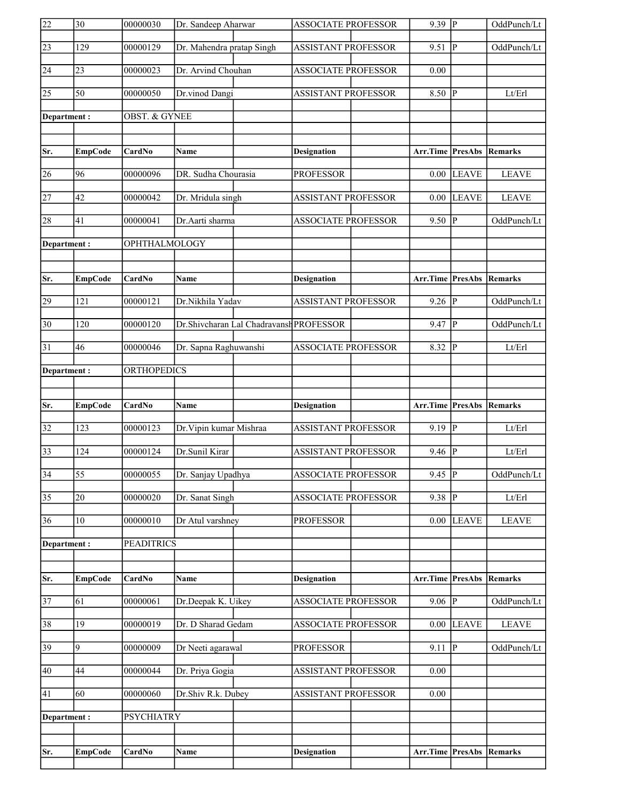| $\overline{22}$ | $ 30\rangle$   | 00000030          | Dr. Sandeep Aharwar       |                                         | <b>ASSOCIATE PROFESSOR</b> | $9.39$ P                        |                            | OddPunch/Lt  |
|-----------------|----------------|-------------------|---------------------------|-----------------------------------------|----------------------------|---------------------------------|----------------------------|--------------|
| $\sqrt{23}$     | 129            | 00000129          | Dr. Mahendra pratap Singh |                                         | <b>ASSISTANT PROFESSOR</b> | 9.51                            | $\overline{\mathbb{P}}$    | OddPunch/Lt  |
| 24              | 23             | 00000023          | Dr. Arvind Chouhan        |                                         | <b>ASSOCIATE PROFESSOR</b> | 0.00                            |                            |              |
| 25              | 50             | 00000050          | Dr.vinod Dangi            |                                         | <b>ASSISTANT PROFESSOR</b> | 8.50                            | P                          | Lt/Erl       |
| Department:     |                | OBST. & GYNEE     |                           |                                         |                            |                                 |                            |              |
|                 |                |                   |                           |                                         |                            |                                 |                            |              |
| Sr.             | <b>EmpCode</b> | CardNo            | Name                      |                                         | <b>Designation</b>         | Arr.Time PresAbs                |                            | Remarks      |
| 26              | 96             | 00000096          | DR. Sudha Chourasia       |                                         | <b>PROFESSOR</b>           | 0.00                            | <b>LEAVE</b>               | <b>LEAVE</b> |
| 27              | 42             | 00000042          | Dr. Mridula singh         |                                         | <b>ASSISTANT PROFESSOR</b> | 0.00                            | <b>LEAVE</b>               | <b>LEAVE</b> |
| 28              | 41             | 00000041          | Dr.Aarti sharma           |                                         | <b>ASSOCIATE PROFESSOR</b> | 9.50                            | P                          | OddPunch/Lt  |
| Department:     |                | OPHTHALMOLOGY     |                           |                                         |                            |                                 |                            |              |
|                 |                |                   |                           |                                         |                            |                                 |                            |              |
| Sr.             | <b>EmpCode</b> | CardNo            | Name                      |                                         | <b>Designation</b>         | Arr.Time PresAbs                |                            | Remarks      |
| 29              | 121            | 00000121          | Dr.Nikhila Yadav          |                                         | ASSISTANT PROFESSOR        | 9.26                            | $\overline{\mathbb{P}}$    | OddPunch/Lt  |
| $ 30\rangle$    | 120            | 00000120          |                           | Dr.Shivcharan Lal Chadravansh PROFESSOR |                            | 9.47                            | lР                         | OddPunch/Lt  |
| 31              | 46             | 00000046          | Dr. Sapna Raghuwanshi     |                                         | <b>ASSOCIATE PROFESSOR</b> | 8.32                            | ∣P                         | Lt/Erl       |
| Department:     |                | ORTHOPEDICS       |                           |                                         |                            |                                 |                            |              |
|                 |                |                   |                           |                                         |                            |                                 |                            |              |
|                 |                |                   |                           |                                         |                            |                                 |                            |              |
| Sr.             | <b>EmpCode</b> | CardNo            | <b>Name</b>               |                                         | <b>Designation</b>         | <b>Arr.Time PresAbs Remarks</b> |                            |              |
| $\overline{32}$ | 123            | 00000123          | Dr. Vipin kumar Mishraa   |                                         | <b>ASSISTANT PROFESSOR</b> | $9.19$ P                        |                            | Lt/Erl       |
| $\overline{33}$ | 124            | 00000124          | Dr.Sunil Kirar            |                                         | <b>ASSISTANT PROFESSOR</b> | $9.46 \overline{P}$             |                            | Lt/Erl       |
| $\overline{34}$ | 55             | 00000055          | Dr. Sanjay Upadhya        |                                         | <b>ASSOCIATE PROFESSOR</b> | 9.45  P                         |                            | OddPunch/Lt  |
| $\overline{35}$ | 20             | 00000020          | Dr. Sanat Singh           |                                         | <b>ASSOCIATE PROFESSOR</b> | $9.38$ P                        |                            | Lt/Erl       |
| 36              | 10             | 00000010          | Dr Atul varshney          |                                         | <b>PROFESSOR</b>           | 0.00                            | <b>LEAVE</b>               | <b>LEAVE</b> |
| Department:     |                | <b>PEADITRICS</b> |                           |                                         |                            |                                 |                            |              |
|                 |                |                   |                           |                                         |                            |                                 |                            |              |
| Sr.             | <b>EmpCode</b> | CardNo            | <b>Name</b>               |                                         | <b>Designation</b>         | <b>Arr.Time PresAbs Remarks</b> |                            |              |
| 37              | 61             | 00000061          | Dr.Deepak K. Uikey        |                                         | <b>ASSOCIATE PROFESSOR</b> | 9.06                            | $\vert \overline{P} \vert$ | OddPunch/Lt  |
| 38              | 19             | 00000019          | Dr. D Sharad Gedam        |                                         | <b>ASSOCIATE PROFESSOR</b> | 0.00                            | <b>LEAVE</b>               | <b>LEAVE</b> |
| 39              | $\overline{9}$ | 00000009          | Dr Neeti agarawal         |                                         | <b>PROFESSOR</b>           | 9.11                            | p                          | OddPunch/Lt  |
| 40              | 44             | 00000044          | Dr. Priya Gogia           |                                         | <b>ASSISTANT PROFESSOR</b> | 0.00                            |                            |              |
| 41              | 60             | 00000060          | Dr.Shiv R.k. Dubey        |                                         | <b>ASSISTANT PROFESSOR</b> | 0.00                            |                            |              |
| Department:     |                | <b>PSYCHIATRY</b> |                           |                                         |                            |                                 |                            |              |
|                 |                |                   |                           |                                         |                            |                                 |                            |              |